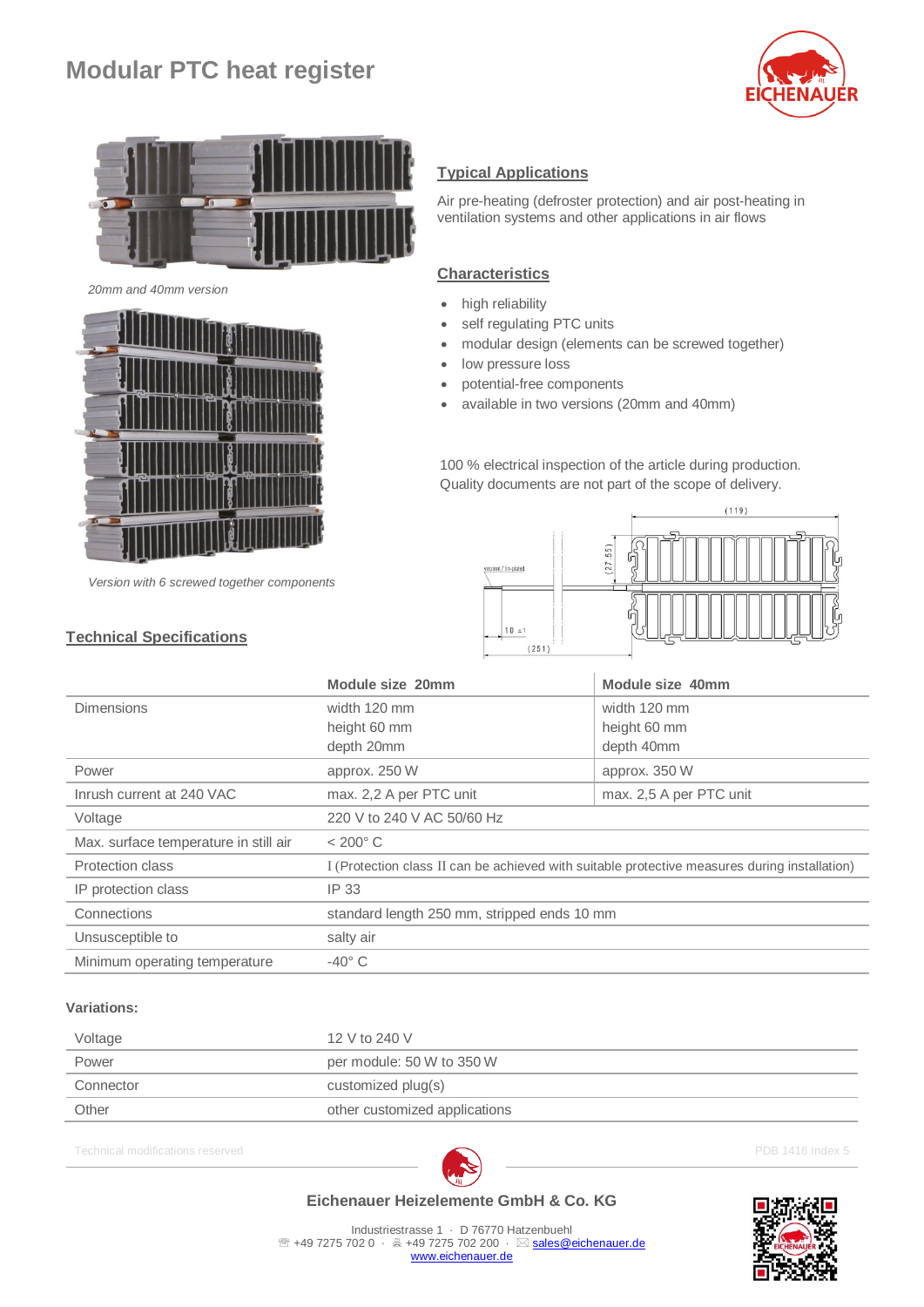# **Modular PTC heat register**





*20mm and 40mm version*



*Version with 6 screwed together components*

## **Technical Specifications**

### **Typical Applications**

Air pre-heating (defroster protection) and air post-heating in ventilation systems and other applications in air flows

#### **Characteristics**

- high reliability
- self regulating PTC units
- modular design (elements can be screwed together)
- low pressure loss
- potential-free components
- available in two versions (20mm and 40mm)

100 % electrical inspection of the article during production. Quality documents are not part of the scope of delivery.



|                                       | Module size 20mm                                                                              | Module size 40mm        |
|---------------------------------------|-----------------------------------------------------------------------------------------------|-------------------------|
| <b>Dimensions</b>                     | width 120 mm                                                                                  | width 120 mm            |
|                                       | height 60 mm                                                                                  | height 60 mm            |
|                                       | depth 20mm                                                                                    | depth 40mm              |
| Power                                 | approx. 250 W                                                                                 | approx. 350 W           |
| Inrush current at 240 VAC             | max. 2,2 A per PTC unit                                                                       | max. 2,5 A per PTC unit |
| Voltage                               | 220 V to 240 V AC 50/60 Hz                                                                    |                         |
| Max. surface temperature in still air | $< 200^{\circ}$ C                                                                             |                         |
| Protection class                      | I (Protection class II can be achieved with suitable protective measures during installation) |                         |
| IP protection class                   | IP 33                                                                                         |                         |
| Connections                           | standard length 250 mm, stripped ends 10 mm                                                   |                         |
| Unsusceptible to                      | salty air                                                                                     |                         |
| Minimum operating temperature         | $-40^\circ$ C                                                                                 |                         |

#### **Variations:**

| Voltage   | 12 V to 240 V                 |
|-----------|-------------------------------|
| Power     | per module: 50 W to 350 W     |
| Connector | customized plug(s)            |
| Other     | other customized applications |
|           |                               |

Technical modifications reserved **PDB 1416** Index 5



## **Eichenauer Heizelemente GmbH & Co. KG**

Industriestrasse 1 · D 76770 Hatzenbuehl <sup>2</sup> +49 7275 702 0 · A +49 7275 702 200 · ⊠ [sales@eichenauer.de](mailto:sales@eichenauer.de) [www.eichenauer.de](http://www.eichenauer.de/)